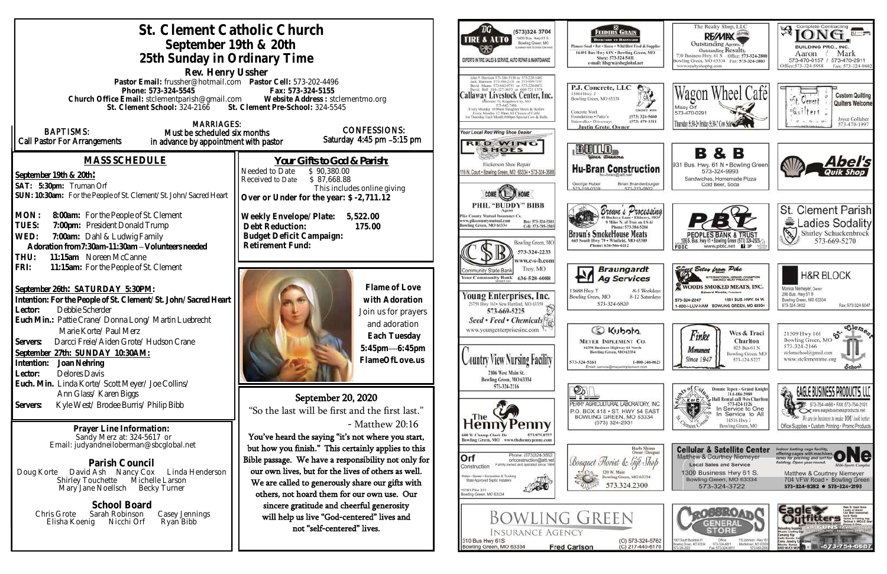| St. Clement Catholic Church<br>September 19th & 20th<br>25th Sunday in Ordinary Time<br>Rev. Henry Ussher                                                                                                                                                                                                                                                                                                                                                                           | (573)324 3704<br><u>FEEDERS GRAIN</u><br>1400 Bus. Hwy 61 S.<br><b>TIRE &amp; AUTO</b><br><b>BACKYARD TO BARNYARD</b><br>Bowling Green, MO.<br>Pioneer Seed . Pet . Horse . Wild Bird Fo<br>16491 Bas Hwy 61N . Bowling G<br>Store: 573-324-5411<br>EXPERTS IN TIRE SALES & SERVICE, AUTO REPAIR & MAINTENANCE<br>e-mail: fdsgru@sbcglobal.                                                                                                                                     |                                                                                                                                                                                                                                                                                                                                                                                                                                                                                                                                                                             |  |  |
|-------------------------------------------------------------------------------------------------------------------------------------------------------------------------------------------------------------------------------------------------------------------------------------------------------------------------------------------------------------------------------------------------------------------------------------------------------------------------------------|---------------------------------------------------------------------------------------------------------------------------------------------------------------------------------------------------------------------------------------------------------------------------------------------------------------------------------------------------------------------------------------------------------------------------------------------------------------------------------|-----------------------------------------------------------------------------------------------------------------------------------------------------------------------------------------------------------------------------------------------------------------------------------------------------------------------------------------------------------------------------------------------------------------------------------------------------------------------------------------------------------------------------------------------------------------------------|--|--|
| Pastor Email: frussher@hotmail.com    Pastor Cell: 573-202-4496<br>Phone: 573-324-5545<br>Church Office Email: stclementparish@gmail.com Website Address : stclementmo.org<br>St. Clement School: 324-2166 St. Clement Pre-School: 324-5545                                                                                                                                                                                                                                         | In P. Harrison 573-386-5150 or 2<br>lack Hurrison 573-386-2138 or 573-999-7107<br>David Means 573-642-9753 or 573-220-0472<br>P.J. Concrete, LLC<br>Callaway Livestock Center, Inc.<br>15084 Hwy. J<br>Bowling Green, MO 63334<br>573-642-7486<br>Every Monday 10:00am Simuther Steers & Heifen<br>Concrete Work<br>Every Monday 12.30pm All Classes of Cattle<br>Foundations - Patio's<br>1st Thursday Each Month 6:00pm Special Cow & Bull-<br>Sidewalks . Driveways<br>(573) |                                                                                                                                                                                                                                                                                                                                                                                                                                                                                                                                                                             |  |  |
| <b>MARRIAGES:</b><br><b>BAPTISMS:</b><br>Must be scheduled six months<br>Call Pastor For Arrangements<br>in advance by appointment with pastor                                                                                                                                                                                                                                                                                                                                      | <b>Justin Grote, Owner</b><br>four Local Red Wing Shoe Dealer<br><b>RED WING</b><br>BUILD<br><b>SHOES</b>                                                                                                                                                                                                                                                                                                                                                                       |                                                                                                                                                                                                                                                                                                                                                                                                                                                                                                                                                                             |  |  |
| <b>MASS SCHEDULE</b><br>September 19th & 20th:<br>SAT: 5:30pm: Truman Orf<br>SUN: 10:30am: For the People of St. Clement/St. John/Sacred Heart                                                                                                                                                                                                                                                                                                                                      | Your Gifts to God & Parish:<br>Needed to Date<br>\$90,380.00<br>\$87,668.88<br>Received to Date<br>This includes online giving<br>Over or Under for the year: \$-2,711.12                                                                                                                                                                                                                                                                                                       | <b>KA CLARENCA</b><br>Hickerson Shoe Repair<br><b>Hu-Bran Constru</b><br>116 N. Court . Bawling Green, MO 63334 . 573-324-3688<br>George Huber<br><b>Brian Bray</b>                                                                                                                                                                                                                                                                                                                                                                                                         |  |  |
| MON:<br>8:00am: For the People of St. Clement<br>TUES:<br>7:00pm: President Donald Trump<br>WED:<br>7:00am: Dahl & Ludwig Family<br>Adoration from 7:30am-11:30am - Volunteers needed<br>THU:<br>11:15am Noreen McCanne                                                                                                                                                                                                                                                             | Weekly Envelope/Plate:<br>5,522.00<br>Debt Reduction:<br>175.00<br><b>Budget Deficit Campaign:</b><br>Retirement Fund:                                                                                                                                                                                                                                                                                                                                                          | PHIL "BUDDY" BIBB<br>Brouw 's Pr<br>'lke County Mutual Insurance Co.<br>ww.pikecountymutual.com<br>Bus: 573-324-5301<br>owling Green, MO 63334<br>Cell: 573-795-3503<br><b>Brown's SmokeHouse Me</b><br>Bowling Green, MO<br>Phone: 636-566-6112<br>573-324-2233<br>vww.c-s-b.com                                                                                                                                                                                                                                                                                           |  |  |
| FRI:<br>11:15am: For the People of St. Clement<br>September 26th: SATURDAY 5:30PM:<br>Intention: For the People of St. Clement/St. John/Sacred Heart<br>Debbie Scherder<br>Lector:<br>Euch Min.: Pattie Crane/ Donna Long/ Martin Luebrecht<br>Marie Korte/ Paul Merz<br>Servers: Darcci Freie/Aiden Grote/Hudson Crane<br>27th: SUNDAY 10:30AM:<br>September<br>Joan Nehring<br>Intention:<br><b>Delores Davis</b><br>Lector:<br>Euch. Min. Linda Korte/ Scott Meyer/ Joe Collins/ | Flame of Love<br>with Adoration<br>Join us for prayers<br>and adoration<br>Each Tuesday<br>$5:45$ pm-6:45pm<br>FlameOfLove.us                                                                                                                                                                                                                                                                                                                                                   | <b>Braungal</b><br>Troy, MO<br>Community State Bank<br><b>Ag Servio</b><br><b>Your Community Bank</b><br>636-528-6088<br>13688 Hwy Y<br>Young Enterprises, Inc.<br>Bowling Green, MO<br>$8-1$<br>25759 Hwy 161 New Hartford, MO 63359<br>573-324-6820<br>573-669-5225<br>Seed • Feed • Chemicals<br>www.youngenterprisesinc.com<br><b>SI</b> Kubotr<br><b>MEYER IMPLEMENT</b><br>16398 Business Highway 61 Nos<br>Bunling Green, MO 63334<br>Country View Nursing Facility<br>573-324-5261<br>Email: service@meyerimplemer<br>2106 West Main St.<br>Bowling Green, MO 63334 |  |  |
| Ann Glass/ Karen Biggs<br>Kyle West/Brodee Burris/Philip Bibb<br>Servers:                                                                                                                                                                                                                                                                                                                                                                                                           | September 20, 2020<br>"So the last will be first and the first last."                                                                                                                                                                                                                                                                                                                                                                                                           | 573-324-2216<br>$\mathcal{D}$<br>PERRY AGRICULTURAL LABORA<br>P.O. BOX 418 . ST. HWY<br>.The<br>BOWLING GREEN, MO<br>(573) 324-2931                                                                                                                                                                                                                                                                                                                                                                                                                                         |  |  |
| Prayer Line Information:<br>Sandy Merz at: 324-5617 or<br>Email: judyandneiloberman@sbcglobal.net<br>Parish Council<br>David Ash<br>Nancy Cox<br>Linda Henderson<br>Doug Korte<br>Michelle Larson<br>Shirley Touchette<br>Mary Jane Noellsch<br><b>Becky Turner</b><br>School Board<br>Chris Grote<br>Sarah Robinson<br>Casey Jennings<br>Ryan Bibb<br>Elisha Koenig<br>Nicchi Orf                                                                                                  | $-$ Matthew 20:16<br>You've heard the saying "it's not where you start,<br>but how you finish." This certainly applies to this<br>Bible passage. We have a responsibility not only for<br>our own lives, but for the lives of others as well.<br>We are called to generously share our gifts with<br>others, not hoard them for our own use. Our<br>sincere gratitude and cheerful generosity<br>will help us live "God-centered" lives and<br>not "self-centered" lives.       | Penny<br>rtenn<br><b>600 W Champ Clark Dr</b><br>Bowling Green, MO www.thehennypenny.com<br>Phone: (573)324-3552<br>Orf<br>orfconstruction@att.net<br>Bouquet Florist & Ty<br>Family owned and operated since 1964<br>Construction<br>Water . Sewer . Excavation & Trucking<br>Bowling Green, MC<br>State Approved Septic Installers<br>573.324.2<br>6381 Pike 313<br>fowling Green, MO 63334<br>Bowling Green<br><b>INSURANCE AGENCY</b><br>(O) 573<br>(C) 217<br>310 Bus Hwy 61S<br>Bowling Green, MO 63334<br><b>Fred Carlson</b>                                        |  |  |